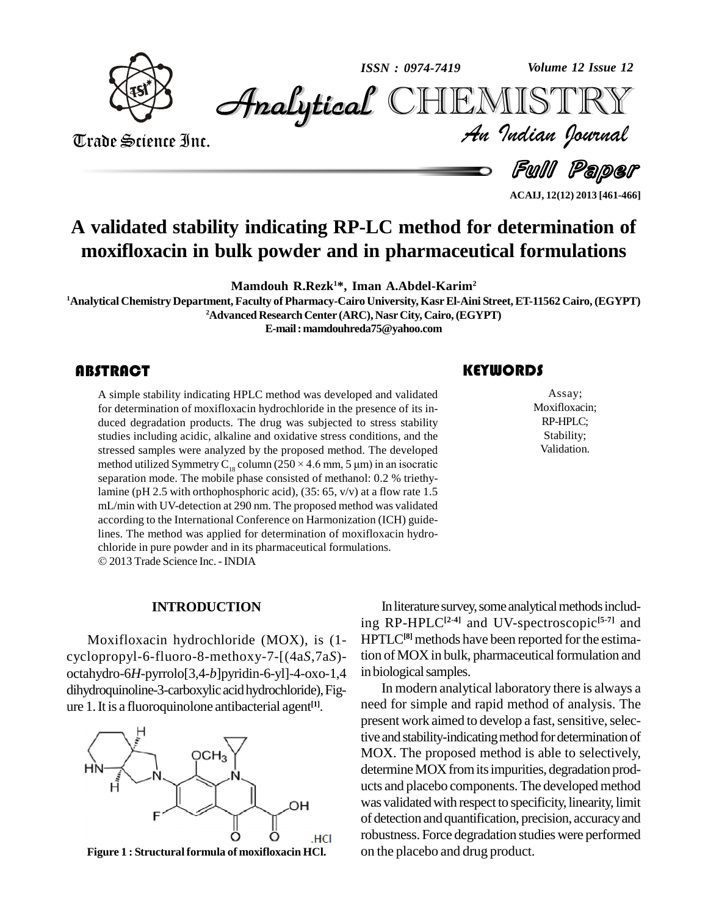

*Volume 12 Issue 12*



Trade Science Inc. Trade Science Inc.

*Volume 12 Issue 12*<br>IISTRY<br>*Indian Iournal* 

Full Paper **ACAIJ, 12(12) 2013 [461-466]**

# **A validated stability indicating RP-LC method for determination of moxifloxacin in bulk powder and in pharmaceutical formulations**

**Mamdouh R.Rezk <sup>1</sup>\*, Iman A.Abdel-Karim<sup>2</sup>**

**<sup>1</sup>Analytical Chemistry Department, Faculty of Pharmacy-Cairo University, KasrEl-Aini Street,ET-11562 Cairo, (EGYPT)**

**<sup>2</sup>Advanced ResearchCenter (ARC), Nasr City, Cairo,(EGYPT)**

**E-mail:[mamdouhreda75@yahoo.com](mailto:mamdouhreda75@yahoo.com)**

A simple stability indicate<br>for determination of most<br>duced degradation prod A simple stability indicating HPLC method was developed and validated for determination of moxifloxacin hydrochloride in the presence of its in duced degradation products. The drug was subjected to stress stability studies including acidic, alkaline and oxidative stress conditions, and the stressed samples were analyzed by the proposed method. The developed method utilized Symmetry C<sub>18</sub> column (250 × 4.6 mm, 5 µm) in an isocratic separation mode. The mobile phase consisted of methanol: 0.2 % triethylamine (pH 2.5 with orthophosphoric acid), (35: 65, v/v) at a flow rate 1.5 mL/min with UV-detection at 290 nm. The proposed method was validated according to the International Conference on Harmonization (ICH) guidelines. The method was applied for determination of moxifloxacin hydrochloride in pure powder and in its pharmaceutical formulations. 2013 Trade Science Inc. -INDIA

# **KEYWORDS**

Assay;<br>Moxifloxacin<br>RP-HPLC; Assay; Moxifloxacin; RP-HPLC; Stability; Validation.

# **INTRODUCTION**

Moxifloxacin hydrochloride (MOX), is (1 cyclopropyl-6-fluoro-8-methoxy-7-[(4a*S*,7a*S*) octahydro-6*H*-pyrrolo[3,4-*b*]pyridin-6-yl]-4-oxo-1,4 dihydroquinoline-3-carboxylic acid hydrochloride), Figure 1.It is a fluoroquinolone antibacterial agent **[1]**.





In literature survey, some analytical methods including RP-HPLC**[2-4]** and UV-spectroscopic **[5-7]** and HPTLC<sup>[8]</sup> methods have been reported for the estimation of MOX in bulk, pharmaceutical formulation and in biological samples.

In modern analytical laboratory there is always a need for simple and rapid method of analysis. The present work aimed to develop a fast, sensitive, selective and stability-indicating method for determination of MOX. The proposed method is able to selectively, determine MOX from its impurities, degradation products and placebo components.The developed method was validated with respect to specificity, linearity, limit of detection andquantification, precision, accuracyand robustness. Force degradation studies were performed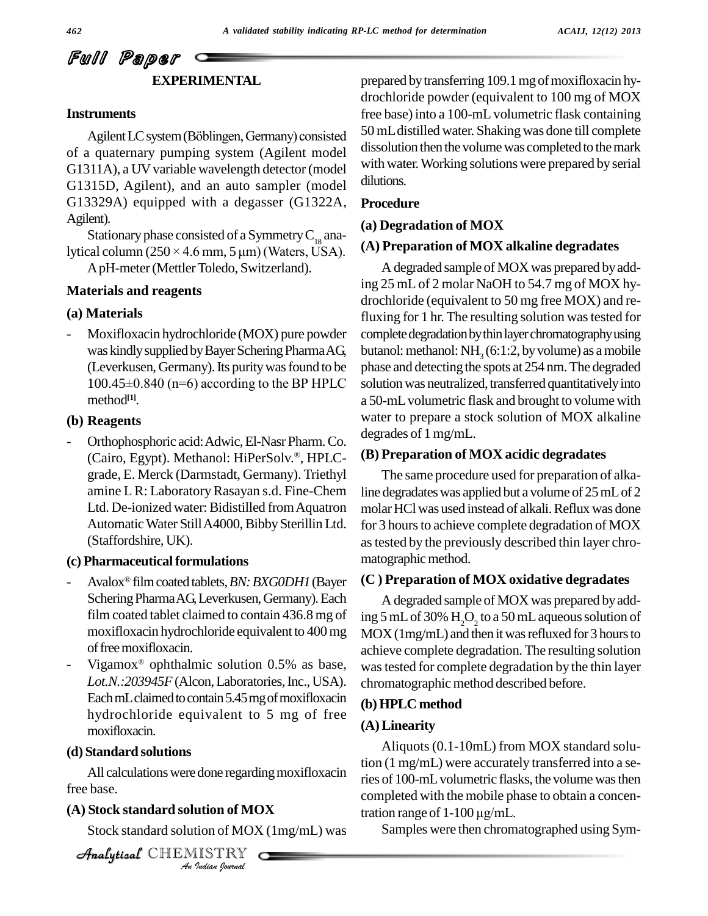# Full Paper **EXPERIMENTAL**

# **Instruments**

Agilent LC system (Böblingen, Germany) consisted of a quaternary pumping system (Agilent model G1311A), a UV variable wavelength detector (model G1315D, Agilent), and an auto sampler (model G13329A) equipped with a degasser (G1322A, Agilent).

Stationary phase consisted of a Symmetry  $C_{18}$  analytical column  $(250 \times 4.6 \text{ mm}, 5 \text{ }\mu\text{m})$  (Waters, USA).

ApH-meter(MettlerToledo, Switzerland).

# **Materials and reagents**

# **(a) Materials**

Moxifloxacin hydrochloride (MOX) pure powder was kindly supplied by Bayer Schering Pharma AG, butanol: m<br>(Leverkusen, Germany). Its purity was found to be phase and<br>100.45±0.840 (n=6) according to the BP HPLC solution w (Leverkusen, Germany). Its purity was found to be method **[1]**.

# **(b) Reagents**

- Orthophosphoric acid: Adwic, El-Nasr Pharm. Co. deg (Cairo, Egypt). Methanol: HiPerSolv.®, HPLC- (B) grade, E. Merck (Darmstadt, Germany). Triethyl amine LR: LaboratoryRasayan s.d. Fine-Chem Ltd. De-ionized water: Bidistilled from Aquatron Automatic Water Still A4000, Bibby Sterillin Ltd. (Staffordshire, UK).

## (c) **Pharmaceutical formulations**

- Avalox<sup>®</sup> film coated tablets, *BN: BXG0DH1* (Bayer (C) Schering Pharma AG, Leverkusen, Germany). Each film coated tablet claimed to contain 436.8 mg of moxifloxacin hydrochloride equivalent to 400mg of free moxifloxacin.
- Vigamox<sup>®</sup> ophthalmic solution  $0.5\%$  as base, was Lot.N.:203945F (Alcon, Laboratories, Inc., USA). Each mL claimed to contain 5.45 mg of moxifloxacin hydrochloride equivalent to 5 mg of free moxifloxacin.

# **(d) Standard solutions**

All calculations were done regarding moxifloxacin ries of *I*<br>**Indian of MC**<br>*ISTRY*<br>*ISTRY* free base.

# **(A) Stock standard solution of MOX**

Stock standard solution of MOX (1mg/mL) was

CHEMISTRY COMMENT

prepared by transferring 109.1 mg of moxifloxacin hydrochloride powder (equivalent to 100 mg of MOX free base) into a 100-mL volumetric flask containing 50 mL distilled water. Shaking was done till complete dissolution then the volume was completed to the mark with water.Working solutions were prepared by serial dilutions.

# **Procedure**

#### **(a) Degradation of MOX**

## **(A) Preparation of MOX alkaline degradates**

A degraded sample of MOX was prepared by adding 25 mL of 2 molar NaOH to 54.7 mg of MOX hy drochloride (equivalent to 50 mg free MOX) and refluxing for 1 hr. The resulting solution was tested for complete degradation by thin layer chromatography using butanol: methanol: NH<sub>3</sub> (6:1:2, by volume) as a mobile phase and detecting the spots at 254 nm. The degraded solution was neutralized, transferred quantitatively into a 50-mLvolumetric flask and brought to volume with water to prepare a stock solution of MOX alkaline degrades of 1 mg/mL.

## **(B) Preparation of MOX acidic degradates**

The same procedure used for preparation of alkaline degradates was applied but a volume of 25 mL of 2 molar HCl was used instead of alkali. Reflux was done for 3 hours to achieve complete degradation of MOX astested by the previously described thin layer chro matographic method.

#### **(C ) Preparation of MOX oxidative degradates**

A degraded sample of MOX was prepared by adding 5 mL of 30%  ${\rm H_2O_2}$  to a 50 mL aqueous solution of  $MOX(1mg/mL)$  and then it was refluxed for 3 hours to achieve complete degradation. The resulting solution wastested for complete degradation by the thin layer chromatographic method described before.

# **(b)HPLC method**

#### **(A)Linearity**

Aliquots (0.1-10mL) from MOX standard solution (1 mg/mL) were accurately transferred into a series of 100-mLvolumetric flasks, the volume wasthen completed with the mobile phase to obtain a concenries of 100-mL volumetric flasks, th<br>completed with the mobile phase t<br>tration range of 1-100 µg/mL.

Samples were then chromatographed using Sym-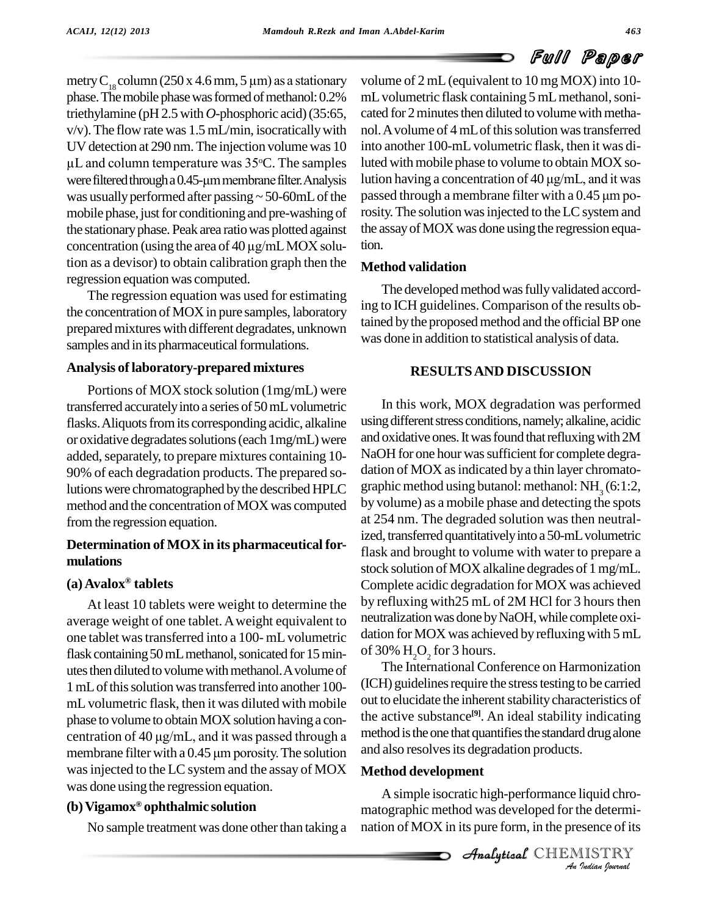metry C<sub>18</sub> column (250 x 4.6 mm, 5 µm) as a stationary phase. The mobile phase was formed of methanol: 0.2% triethylamine (pH 2.5with *O*-phosphoric acid)(35:65,  $v/v$ ). The flow rate was 1.5 mL/min, isocratically with nol. A v UV detection at 290 nm. The injection volume was 10 into an Follow rate was  $1.5$  mL/min, isocratical detection at 290 nm. The injection volume and column temperature was  $35^{\circ}$ C. The sa  $\mu$ L and column temperature was 35 $\degree$ C. The samples were filtered through a 0.45-µm membrane filter. Analysis was usually performed after passing  $\sim$  50-60mL of the passed through a membrane filter with a 0.45  $\mu$ m pomobile phase, just for conditioning and pre-washing of rosity<br>the stationary phase. Peak area ratio was plotted against the ass<br>concentration (using the area of 40 µg/mL MOX solu-tion. the stationaryphase. Peak area ratiowas plotted against tion as a devisor) to obtain calibration graph then the regression equation was computed.

The regression equation was used for estimating the concentration of MOX in pure samples, laboratory preparedmixtures with different degradates, unknown samples and in its pharmaceutical formulations.

# **Analysis of laboratory-prepared mixtures**

Portions of MOX stock solution (1mg/mL) were transferred accurately into a series of 50 mL volumetric flasks. Aliquots from its corresponding acidic, alkaline or oxidative degradates solutions (each 1mg/mL) were added, separately, to prepare mixtures containing 10-90% of each degradation products. The prepared solutions were chromatographed by the described HPLC graphic method using butanol: methanol: NH<sub>3</sub> (6:1:2, method and the concentration of MOX was computed fromthe regression equation.

# **Determination of MOX in its pharmaceutical for mulations**

# **(a)Avalox tablets**

At least 10 tablets were weight to determine the average weight of one tablet.Aweight equivalent to one tablet was transferred into a 100- mL volumetric dation for MOX was achieflask containing 50 mL methanol, sonicated for 15 min-<br>of 30% H<sub>2</sub>O<sub>2</sub> for 3 hours. flask containing 50 mL methanol, sonicated for 15 minutes then diluted to volume with methanol. A volume of 1mLofthissolutionwastransferred into another 100 mL volumetric flask, then it was diluted with mobile phase to volume to obtain MOX solution having a conmL volumetric flask, then it was diluted with mobile out to<br>phase to volume to obtain MOX solution having a contration of 40 µg/mL, and it was passed through a metho centration of 40  $\mu$ g/mL, and it was passed through a membrane filter with a 0.45  $\mu$ m porosity. The solution wasinjected to the LC system and the assay of MOX was done using the regression equation. **Æ**

# **(b)Vigamox ophthalmic solution**

No sample treatment was done other than taking a

volume of 2 mL(equivalent to 10 mg MOX) into 10 mL volumetric flask containing 5 mL methanol, sonicated for 2 minutes then diluted to volume with methanol. A volume of 4 mL of this solution was transferred into another 100-mL volumetric flask, then it was diluted with mobile phase to volume to obtain MOX sointo another 100-mL volumetric flask, then it was di-<br>luted with mobile phase to volume to obtain MOX so-<br>lution having a concentration of 40 µg/mL, and it was luted with mobile phase to volume to obtain MOX solution having a concentration of 40  $\mu$ g/mL, and it was<br>passed through a membrane filter with a 0.45  $\mu$ m porosity. The solution was injected to the LC system and the assay of MOX was done using the regression equation.

# **Method validation**

The developed method was fully validated according to ICH guidelines. Comparison of the results obtained by the proposed method and the official BP one was done in addition to statistical analysis of data.

# **RESULTSAND DISCUSSION**

In this work, MOX degradation was performed using different stress conditions, namely; alkaline, acidic and oxidative ones. It was found that refluxing with 2M NaOH for one hour was sufficient for complete degradation of MOX as indicated by a thin layer chromatoby volume) as a mobile phase and detecting the spots at 254 nm. The degraded solution was then neutralized, transferred quantitatively into a 50-mL volumetric flask and brought to volume with water to prepare a stock solution of MOX alkaline degrades of 1 mg/mL. Complete acidic degradation for MOX was achieved by refluxing with  $25 \text{ mL of } 2M$  HCl for 3 hours then neutralization was done by NaOH, while complete oxidation for MOX was achieved by refluxing with 5 mL

The International Conference on Harmonization (ICH) guidelines require the stress testing to be carried out to elucidate the inherent stability characteristics of the active substance **[9]**. An ideal stability indicating method is the one that quantifies the standard drug alone and also resolves its degradation products.

# Analytical**Method development**

*Inquid chrose*<br>*Indian*<br>*IISTRY*<br>*Judian Journal* A simple isocratic high-performance liquid chro matographic method was developed for the determi nation of MOX in its pure form, in the presence of its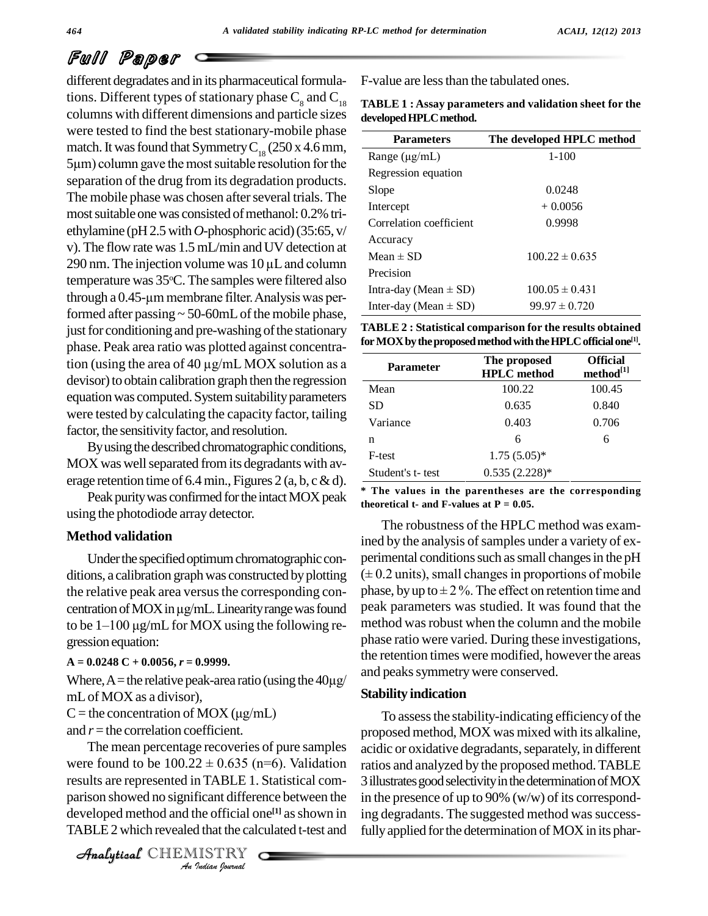# Full Paper

different degradates and in its pharmaceutical formulations. Different types of stationary phase  $C_8$  and  $C_{18}$ columns with different dimensions and particle sizes were tested to find the best stationary-mobile phase match. It was found that Symmetry  $C_{18}$  (250 x 4.6 mm, 5µm) column gave the most suitable resolution for the separation of the drug from its degradation products. The mobile phase was chosen after several trials. The most suitable one was consisted of methanol: 0.2% triethylamine (pH 2.5 with *O*-phosphoric acid) (35:65, v/<br>v). The flow rate was 1.5 mL/min and UV detection at Accur-<br>290 nm. The injection volume was 10 µL and column v). The flow rate was 1.5 mL/min and UV detection at temperature was  $35^{\circ}$ C. The samples were filtered also 290 nm. The injection volume was  $10 \mu$ L and column<br>temperature was  $35^{\circ}$ C. The samples were filtered also<br>through a 0.45-µm membrane filter. Analysis was performed after passing  $\sim$  50-60mL of the mobile phase, just for conditioning and pre-washing of the stationary phase. Peak area ratio was plotted against concentrajust for conditioning and pre-washing of the stationary<br>phase. Peak area ratio was plotted against concentra-<br>tion (using the area of 40  $\mu$ g/mL MOX solution as a devisor) to obtain calibration graph then the regression equation was computed. System suitability parameters were tested by calculating the capacity factor, tailing factor, the sensitivity factor, and resolution.

By using the described chromatographic conditions, MOX was well separated from its degradants with average retention time of 6.4 min., Figures 2 (a, b, c & d).

Peak purity was confirmed for the intact MOX peak using the photodiode array detector.

# **Method validation**

Under the specified optimum chromatographic conditions, a calibration graph was constructed by plotting  $(\pm 0.2 \text{ m})$ <br>the relative peak area versus the corresponding con-<br>centration of MOX in  $\mu$ g/mL. Linearity range was found peak p centration of MOX in  $\mu$ g/mL. Linearity range was found<br>to be 1–100  $\mu$ g/mL for MOX using the following re-<br>gression equation:

#### **A = 0.0248 C + 0.0056,** *r* **= 0.9999.**

gression equation:<br>A =  $0.0248$  C +  $0.0056$ ,  $r = 0.9999$ . the<br>Where, A = the relative peak-area ratio (using the  $40\mu$ g/ mLof MOX as a divisor), Where, A = the relative peak-area ratio (using the mL of MOX as a divisor),<br>C = the concentration of MOX ( $\mu$ g/mL)

and *r* = the correlation coefficient.

and  $r$  = the correlation coefficient. propos<br>The mean percentage recoveries of pure samples acidic cover found to be  $100.22 \pm 0.635$  (n=6). Validation ratios a *I*  $\pm$  0.055 (In<br> **n TABLE 1.**<br> **ficant differe**<br>
the official or<br> **I** ISTRY results are represented in TABLE 1. Statistical com- 3 ill The mean percentage recoveries of pure samples parison showed no significant difference between the developed method and the official one<sup>[1]</sup> as shown in ing deg TABLE2 which revealed that the calculated t-test and

CHEMISTRY COMMENT

F-value are lessthan the tabulated ones.

| <b>TABLE 1: Assay parameters and validation sheet for the</b> |  |
|---------------------------------------------------------------|--|
| developed HPLC method.                                        |  |

| <b>Parameters</b>         | The developed HPLC method |
|---------------------------|---------------------------|
| Range $(\mu g/mL)$        | $1 - 100$                 |
| Regression equation       |                           |
| Slope                     | 0.0248                    |
| Intercept                 | $+0.0056$                 |
| Correlation coefficient   | 0.9998                    |
| Accuracy                  |                           |
| Mean $\pm$ SD             | $100.22 \pm 0.635$        |
| Precision                 |                           |
| Intra-day (Mean $\pm$ SD) | $100.05 \pm 0.431$        |
| Inter-day (Mean $\pm$ SD) | $99.97 \pm 0.720$         |

**TABLE 2 : Statistical comparison for the results obtained forMOXbytheproposedmethodwiththeHPLCofficialone [1].**

| <b>Parameter</b> | The proposed<br><b>HPLC</b> method | <b>Official</b><br>method <sup>[1]</sup> |
|------------------|------------------------------------|------------------------------------------|
| Mean             | 100.22                             | 100.45                                   |
| SD               | 0.635                              | 0.840                                    |
| Variance         | 0.403                              | 0.706                                    |
| n                | 6                                  | 6                                        |
| F-test           | $1.75(5.05)*$                      |                                          |
| Student's t-test | $0.535(2.228)*$                    |                                          |

**\* The values in the parentheses are the corresponding theoretical t-** and **F-values** at  $P = 0.05$ .

the relative peak area versus the corresponding con-<br>phase, by up to  $\pm 2\%$ . The effect on retention time and The robustness of the HPLC method was examined by the analysis of samples under a variety of experimental conditions such as small changes in the pH ined by the analysis of samples under a variety of ex-<br>perimental conditions such as small changes in the pH<br> $(\pm 0.2 \text{ units})$ , small changes in proportions of mobile perimental conditions such as small changes in the pH<br>  $(± 0.2 \text{ units})$ , small changes in proportions of mobile<br>
phase, by up to  $± 2 \%$ . The effect on retention time and peak parameters was studied. It was found that the method was robust when the column and the mobile phase ratio were varied. During these investigations, the retention times were modified, however the areas and peaks symmetry were conserved.

#### **Stability indication**

To assessthe stability-indicating efficiency of the proposed method, MOX was mixed with its alkaline, acidic or oxidative degradants, separately, in different ratios and analyzed by the proposed method.TABLE 3 illustrates good selectivity in the determination of MOX in the presence of up to 90% (w/w) of its corresponding degradants. The suggested method was successfully applied for the determination of MOX in its phar-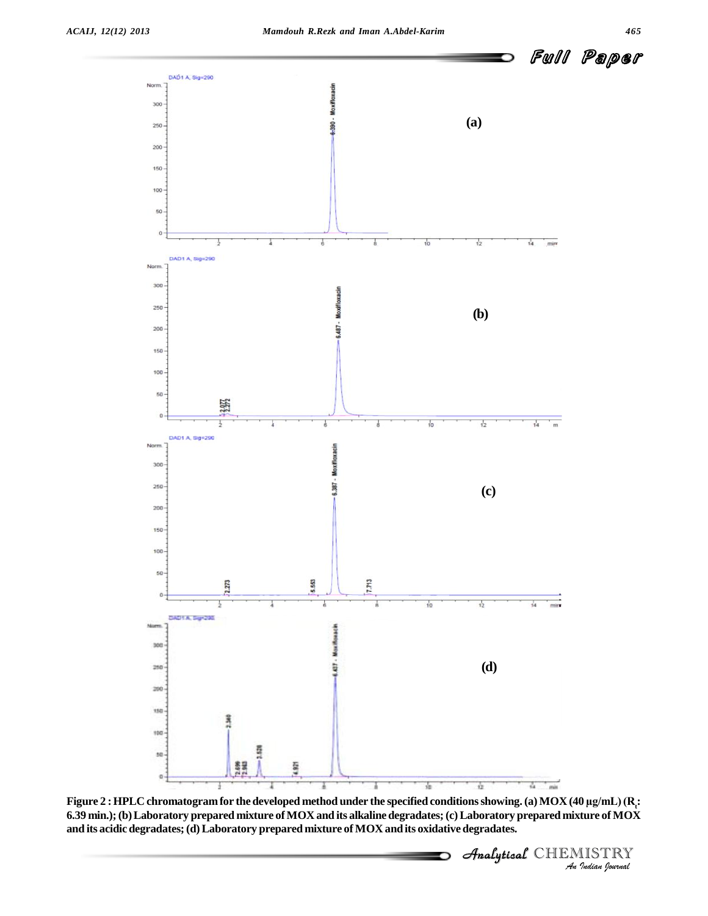CHEMISTRY



*I*<br>*Indian (Regimerial AIOX)***<br>IISTRY**<br>*Indian Iournal* **6.39 min.);(b)Laboratory prepared mixture ofMOX and its alkaline degradates;(c)Laboratory prepared mixture of MOX and its acidic degradates;(d)Laboratory prepared mixture of MOX and its oxidative degradates.**